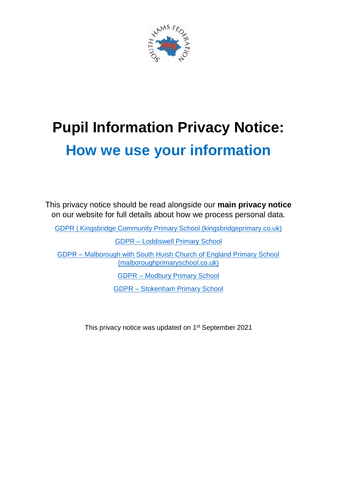

# **Pupil Information Privacy Notice: How we use your information**

This privacy notice should be read alongside our **main privacy notice** on our website for full details about how we process personal data.

[GDPR | Kingsbridge Community Primary School \(kingsbridgeprimary.co.uk\)](https://www.kingsbridgeprimary.co.uk/gdpr-1/)

GDPR – [Loddiswell Primary School](https://www.loddiswellprimaryschool.co.uk/gdpr/)

GDPR – [Malborough with South Huish Church of England Primary School](https://www.malboroughprimaryschool.co.uk/gdpr/)  [\(malboroughprimaryschool.co.uk\)](https://www.malboroughprimaryschool.co.uk/gdpr/)

GDPR – [Modbury Primary School](https://www.modburyprimaryschool.co.uk/gdpr/)

GDPR – [Stokenham Primary School](https://stokenhamprimaryschool.co.uk/gdpr/)

This privacy notice was updated on 1<sup>st</sup> September 2021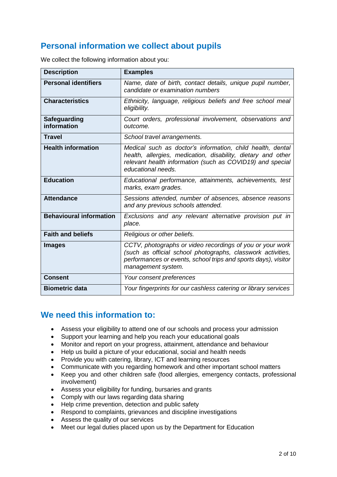# **Personal information we collect about pupils**

| We collect the following information about you: |  |
|-------------------------------------------------|--|
|                                                 |  |

| <b>Description</b>                 | <b>Examples</b>                                                                                                                                                                                                  |
|------------------------------------|------------------------------------------------------------------------------------------------------------------------------------------------------------------------------------------------------------------|
| <b>Personal identifiers</b>        | Name, date of birth, contact details, unique pupil number,<br>candidate or examination numbers                                                                                                                   |
| <b>Characteristics</b>             | Ethnicity, language, religious beliefs and free school meal<br>eligibility.                                                                                                                                      |
| <b>Safeguarding</b><br>information | Court orders, professional involvement, observations and<br>outcome.                                                                                                                                             |
| <b>Travel</b>                      | School travel arrangements.                                                                                                                                                                                      |
| <b>Health information</b>          | Medical such as doctor's information, child health, dental<br>health, allergies, medication, disability, dietary and other<br>relevant health information (such as COVID19) and special<br>educational needs.    |
| <b>Education</b>                   | Educational performance, attainments, achievements, test<br>marks, exam grades.                                                                                                                                  |
| <b>Attendance</b>                  | Sessions attended, number of absences, absence reasons<br>and any previous schools attended.                                                                                                                     |
| <b>Behavioural information</b>     | Exclusions and any relevant alternative provision put in<br>place.                                                                                                                                               |
| <b>Faith and beliefs</b>           | Religious or other beliefs.                                                                                                                                                                                      |
| <b>Images</b>                      | CCTV, photographs or video recordings of you or your work<br>(such as official school photographs, classwork activities,<br>performances or events, school trips and sports days), visitor<br>management system. |
| <b>Consent</b>                     | Your consent preferences                                                                                                                                                                                         |
| <b>Biometric data</b>              | Your fingerprints for our cashless catering or library services                                                                                                                                                  |

## **We need this information to:**

- Assess your eligibility to attend one of our schools and process your admission
- Support your learning and help you reach your educational goals
- Monitor and report on your progress, attainment, attendance and behaviour
- Help us build a picture of your educational, social and health needs
- Provide you with catering, library, ICT and learning resources
- Communicate with you regarding homework and other important school matters
- Keep you and other children safe (food allergies, emergency contacts, professional involvement)
- Assess your eligibility for funding, bursaries and grants
- Comply with our laws regarding data sharing
- Help crime prevention, detection and public safety
- Respond to complaints, grievances and discipline investigations
- Assess the quality of our services
- Meet our legal duties placed upon us by the Department for Education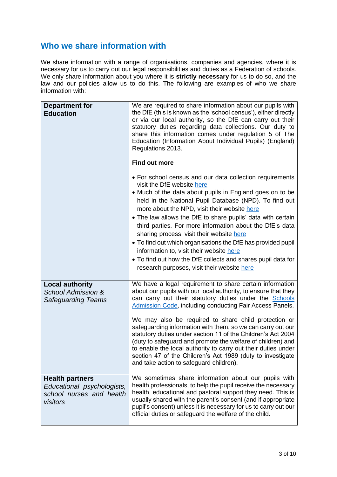## **Who we share information with**

We share information with a range of organisations, companies and agencies, where it is necessary for us to carry out our legal responsibilities and duties as a Federation of schools. We only share information about you where it is **strictly necessary** for us to do so, and the law and our policies allow us to do this. The following are examples of who we share information with:

| <b>Department for</b><br><b>Education</b>                                                    | We are required to share information about our pupils with<br>the DfE (this is known as the 'school census'), either directly<br>or via our local authority, so the DfE can carry out their<br>statutory duties regarding data collections. Our duty to<br>share this information comes under regulation 5 of The<br>Education (Information About Individual Pupils) (England)<br>Regulations 2013.<br><b>Find out more</b><br>• For school census and our data collection requirements<br>visit the DfE website here<br>• Much of the data about pupils in England goes on to be<br>held in the National Pupil Database (NPD). To find out<br>more about the NPD, visit their website here<br>• The law allows the DfE to share pupils' data with certain<br>third parties. For more information about the DfE's data<br>sharing process, visit their website here<br>• To find out which organisations the DfE has provided pupil<br>information to, visit their website here |
|----------------------------------------------------------------------------------------------|---------------------------------------------------------------------------------------------------------------------------------------------------------------------------------------------------------------------------------------------------------------------------------------------------------------------------------------------------------------------------------------------------------------------------------------------------------------------------------------------------------------------------------------------------------------------------------------------------------------------------------------------------------------------------------------------------------------------------------------------------------------------------------------------------------------------------------------------------------------------------------------------------------------------------------------------------------------------------------|
|                                                                                              | • To find out how the DfE collects and shares pupil data for<br>research purposes, visit their website here                                                                                                                                                                                                                                                                                                                                                                                                                                                                                                                                                                                                                                                                                                                                                                                                                                                                     |
| <b>Local authority</b><br><b>School Admission &amp;</b><br><b>Safeguarding Teams</b>         | We have a legal requirement to share certain information<br>about our pupils with our local authority, to ensure that they<br>can carry out their statutory duties under the Schools<br>Admission Code, including conducting Fair Access Panels.<br>We may also be required to share child protection or<br>safeguarding information with them, so we can carry out our<br>statutory duties under section 11 of the Children's Act 2004<br>(duty to safeguard and promote the welfare of children) and<br>to enable the local authority to carry out their duties under<br>section 47 of the Children's Act 1989 (duty to investigate<br>and take action to safeguard children).                                                                                                                                                                                                                                                                                                |
| <b>Health partners</b><br>Educational psychologists,<br>school nurses and health<br>visitors | We sometimes share information about our pupils with<br>health professionals, to help the pupil receive the necessary<br>health, educational and pastoral support they need. This is<br>usually shared with the parent's consent (and if appropriate<br>pupil's consent) unless it is necessary for us to carry out our<br>official duties or safeguard the welfare of the child.                                                                                                                                                                                                                                                                                                                                                                                                                                                                                                                                                                                               |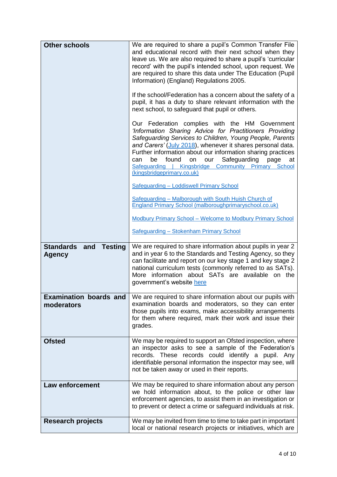| <b>Other schools</b>                                       | We are required to share a pupil's Common Transfer File<br>and educational record with their next school when they<br>leave us. We are also required to share a pupil's 'curricular<br>record' with the pupil's intended school, upon request. We<br>are required to share this data under The Education (Pupil<br>Information) (England) Regulations 2005.<br>If the school/Federation has a concern about the safety of a                              |
|------------------------------------------------------------|----------------------------------------------------------------------------------------------------------------------------------------------------------------------------------------------------------------------------------------------------------------------------------------------------------------------------------------------------------------------------------------------------------------------------------------------------------|
|                                                            | pupil, it has a duty to share relevant information with the<br>next school, to safeguard that pupil or others.                                                                                                                                                                                                                                                                                                                                           |
|                                                            | Our Federation complies with the HM Government<br>'Information Sharing Advice for Practitioners Providing<br>Safeguarding Services to Children, Young People, Parents<br>and Carers' (July 2018), whenever it shares personal data.<br>Further information about our information sharing practices<br>Safeguarding<br>found<br>our<br>page<br>be<br>on<br>can<br>at<br>Safeguarding   Kingsbridge Community Primary School<br>(kingsbridgeprimary.co.uk) |
|                                                            | Safeguarding - Loddiswell Primary School                                                                                                                                                                                                                                                                                                                                                                                                                 |
|                                                            | Safeguarding - Malborough with South Huish Church of<br>England Primary School (malboroughprimaryschool.co.uk)                                                                                                                                                                                                                                                                                                                                           |
|                                                            | <b>Modbury Primary School - Welcome to Modbury Primary School</b>                                                                                                                                                                                                                                                                                                                                                                                        |
|                                                            | Safeguarding - Stokenham Primary School                                                                                                                                                                                                                                                                                                                                                                                                                  |
| <b>Standards</b><br><b>Testing</b><br>and<br><b>Agency</b> | We are required to share information about pupils in year 2<br>and in year 6 to the Standards and Testing Agency, so they<br>can facilitate and report on our key stage 1 and key stage 2<br>national curriculum tests (commonly referred to as SATs).<br>More information about SATs are available on the<br>government's website here                                                                                                                  |
| <b>Examination boards and</b><br>moderators                | We are required to share information about our pupils with<br>examination boards and moderators, so they can enter<br>those pupils into exams, make accessibility arrangements<br>for them where required, mark their work and issue their<br>grades.                                                                                                                                                                                                    |
| <b>Ofsted</b>                                              | We may be required to support an Ofsted inspection, where<br>an inspector asks to see a sample of the Federation's<br>records. These records could identify a pupil. Any<br>identifiable personal information the inspector may see, will<br>not be taken away or used in their reports.                                                                                                                                                                 |
| <b>Law enforcement</b>                                     | We may be required to share information about any person<br>we hold information about, to the police or other law<br>enforcement agencies, to assist them in an investigation or<br>to prevent or detect a crime or safeguard individuals at risk.                                                                                                                                                                                                       |
| <b>Research projects</b>                                   | We may be invited from time to time to take part in important<br>local or national research projects or initiatives, which are                                                                                                                                                                                                                                                                                                                           |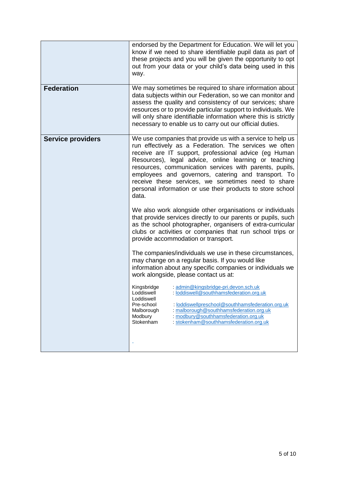|                          | endorsed by the Department for Education. We will let you<br>know if we need to share identifiable pupil data as part of<br>these projects and you will be given the opportunity to opt<br>out from your data or your child's data being used in this<br>way.                                                                                                                                                                                                                         |
|--------------------------|---------------------------------------------------------------------------------------------------------------------------------------------------------------------------------------------------------------------------------------------------------------------------------------------------------------------------------------------------------------------------------------------------------------------------------------------------------------------------------------|
| <b>Federation</b>        | We may sometimes be required to share information about<br>data subjects within our Federation, so we can monitor and<br>assess the quality and consistency of our services; share<br>resources or to provide particular support to individuals. We<br>will only share identifiable information where this is strictly<br>necessary to enable us to carry out our official duties.                                                                                                    |
| <b>Service providers</b> | We use companies that provide us with a service to help us<br>run effectively as a Federation. The services we often<br>receive are IT support, professional advice (eg Human<br>Resources), legal advice, online learning or teaching<br>resources, communication services with parents, pupils,<br>employees and governors, catering and transport. To<br>receive these services, we sometimes need to share<br>personal information or use their products to store school<br>data. |
|                          | We also work alongside other organisations or individuals<br>that provide services directly to our parents or pupils, such<br>as the school photographer, organisers of extra-curricular<br>clubs or activities or companies that run school trips or<br>provide accommodation or transport.                                                                                                                                                                                          |
|                          | The companies/individuals we use in these circumstances,<br>may change on a regular basis. If you would like<br>information about any specific companies or individuals we<br>work alongside, please contact us at:                                                                                                                                                                                                                                                                   |
|                          | Kingsbridge<br>: admin@kingsbridge-pri.devon.sch.uk<br>: loddiswell@southhamsfederation.org.uk<br>Loddiswell<br>Loddiswell<br>: loddiswellpreschool@southhamsfederation.org.uk<br>Pre-school<br>: malborough@southhamsfederation.org.uk<br>Malborough<br>Modbury<br>: modbury@southhamsfederation.org.uk<br>Stokenham<br>: stokenham@southhamsfederation.org.uk                                                                                                                       |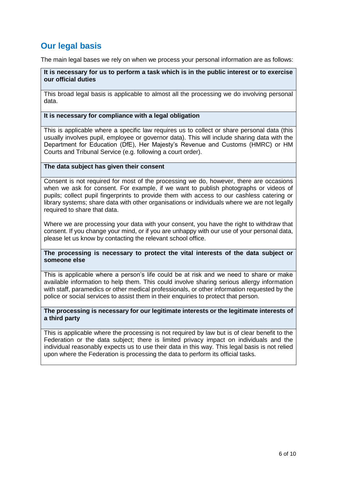# **Our legal basis**

The main legal bases we rely on when we process your personal information are as follows:

### **It is necessary for us to perform a task which is in the public interest or to exercise our official duties**

This broad legal basis is applicable to almost all the processing we do involving personal data.

### **It is necessary for compliance with a legal obligation**

This is applicable where a specific law requires us to collect or share personal data (this usually involves pupil, employee or governor data). This will include sharing data with the Department for Education (DfE), Her Majesty's Revenue and Customs (HMRC) or HM Courts and Tribunal Service (e.g. following a court order).

### **The data subject has given their consent**

Consent is not required for most of the processing we do, however, there are occasions when we ask for consent. For example, if we want to publish photographs or videos of pupils; collect pupil fingerprints to provide them with access to our cashless catering or library systems; share data with other organisations or individuals where we are not legally required to share that data.

Where we are processing your data with your consent, you have the right to withdraw that consent. If you change your mind, or if you are unhappy with our use of your personal data, please let us know by contacting the relevant school office.

### **The processing is necessary to protect the vital interests of the data subject or someone else**

This is applicable where a person's life could be at risk and we need to share or make available information to help them. This could involve sharing serious allergy information with staff, paramedics or other medical professionals, or other information requested by the police or social services to assist them in their enquiries to protect that person.

### **The processing is necessary for our legitimate interests or the legitimate interests of a third party**

This is applicable where the processing is not required by law but is of clear benefit to the Federation or the data subject; there is limited privacy impact on individuals and the individual reasonably expects us to use their data in this way. This legal basis is not relied upon where the Federation is processing the data to perform its official tasks.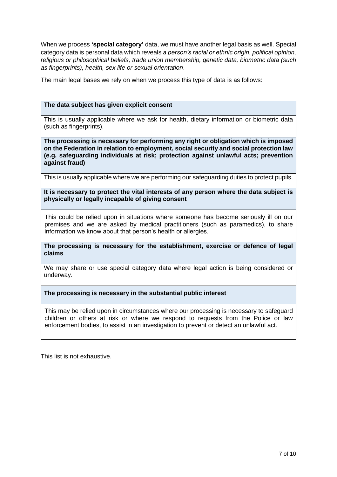When we process **'special category'** data, we must have another legal basis as well. Special category data is personal data which reveals *a person's racial or ethnic origin, political opinion, religious or philosophical beliefs, trade union membership, genetic data, biometric data (such as fingerprints), health, sex life or sexual orientation*.

The main legal bases we rely on when we process this type of data is as follows:

## **The data subject has given explicit consent**

This is usually applicable where we ask for health, dietary information or biometric data (such as fingerprints).

**The processing is necessary for performing any right or obligation which is imposed on the Federation in relation to employment, social security and social protection law (e.g. safeguarding individuals at risk; protection against unlawful acts; prevention against fraud)**

This is usually applicable where we are performing our safeguarding duties to protect pupils.

#### **It is necessary to protect the vital interests of any person where the data subject is physically or legally incapable of giving consent**

This could be relied upon in situations where someone has become seriously ill on our premises and we are asked by medical practitioners (such as paramedics), to share information we know about that person's health or allergies.

**The processing is necessary for the establishment, exercise or defence of legal claims**

We may share or use special category data where legal action is being considered or underway.

**The processing is necessary in the substantial public interest**

This may be relied upon in circumstances where our processing is necessary to safeguard children or others at risk or where we respond to requests from the Police or law enforcement bodies, to assist in an investigation to prevent or detect an unlawful act.

This list is not exhaustive.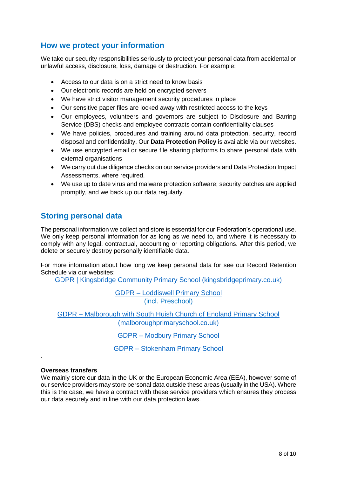## **How we protect your information**

We take our security responsibilities seriously to protect your personal data from accidental or unlawful access, disclosure, loss, damage or destruction. For example:

- Access to our data is on a strict need to know basis
- Our electronic records are held on encrypted servers
- We have strict visitor management security procedures in place
- Our sensitive paper files are locked away with restricted access to the keys
- Our employees, volunteers and governors are subject to Disclosure and Barring Service (DBS) checks and employee contracts contain confidentiality clauses
- We have policies, procedures and training around data protection, security, record disposal and confidentiality. Our **Data Protection Policy** is available via our websites.
- We use encrypted email or secure file sharing platforms to share personal data with external organisations
- We carry out due diligence checks on our service providers and Data Protection Impact Assessments, where required.
- We use up to date virus and malware protection software; security patches are applied promptly, and we back up our data regularly.

## **Storing personal data**

The personal information we collect and store is essential for our Federation's operational use. We only keep personal information for as long as we need to, and where it is necessary to comply with any legal, contractual, accounting or reporting obligations. After this period, we delete or securely destroy personally identifiable data.

For more information about how long we keep personal data for see our Record Retention Schedule via our websites:

[GDPR | Kingsbridge Community Primary School \(kingsbridgeprimary.co.uk\)](https://www.kingsbridgeprimary.co.uk/gdpr-1/)

GDPR – [Loddiswell Primary School](https://www.loddiswellprimaryschool.co.uk/gdpr/) (incl. Preschool)

GDPR – [Malborough with South Huish Church of England Primary School](https://www.malboroughprimaryschool.co.uk/gdpr/)  [\(malboroughprimaryschool.co.uk\)](https://www.malboroughprimaryschool.co.uk/gdpr/)

GDPR – [Modbury Primary School](https://www.modburyprimaryschool.co.uk/gdpr/)

GDPR – [Stokenham Primary School](https://stokenhamprimaryschool.co.uk/gdpr/)

## **Overseas transfers**

.

We mainly store our data in the UK or the European Economic Area (EEA), however some of our service providers may store personal data outside these areas (usually in the USA). Where this is the case, we have a contract with these service providers which ensures they process our data securely and in line with our data protection laws.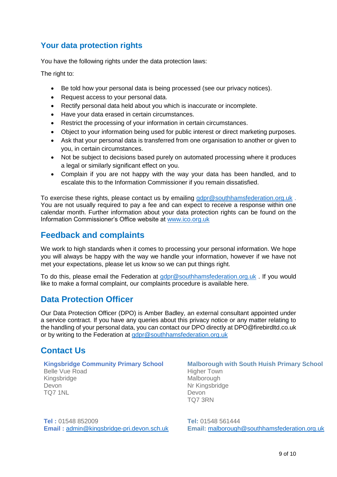## **Your data protection rights**

You have the following rights under the data protection laws:

The right to:

- Be told how your personal data is being processed (see our privacy notices).
- Request access to your personal data.
- Rectify personal data held about you which is inaccurate or incomplete.
- Have your data erased in certain circumstances.
- Restrict the processing of your information in certain circumstances.
- Object to your information being used for public interest or direct marketing purposes.
- Ask that your personal data is transferred from one organisation to another or given to you, in certain circumstances.
- Not be subject to decisions based purely on automated processing where it produces a legal or similarly significant effect on you.
- Complain if you are not happy with the way your data has been handled, and to escalate this to the Information Commissioner if you remain dissatisfied.

To exercise these rights, please contact us by emailing [gdpr@southhamsfederation.org.uk](mailto:gdpr@southhamsfederation.org.uk). You are not usually required to pay a fee and can expect to receive a response within one calendar month. Further information about your data protection rights can be found on the Information Commissioner's Office website at [www.ico.org.uk](http://www.ico.org.uk/)

## **Feedback and complaints**

We work to high standards when it comes to processing your personal information. We hope you will always be happy with the way we handle your information, however if we have not met your expectations, please let us know so we can put things right.

To do this, please email the Federation at [gdpr@southhamsfederation.org.uk](mailto:gdpr@southhamsfederation.org.uk) . If you would like to make a formal complaint, our complaints procedure is available here.

## **Data Protection Officer**

Our Data Protection Officer (DPO) is Amber Badley, an external consultant appointed under a service contract. If you have any queries about this privacy notice or any matter relating to the handling of your personal data, you can contact our DPO directly at DPO@firebirdltd.co.uk or by writing to the Federation at [gdpr@southhamsfederation.org.uk](mailto:gdpr@southhamsfederation.org.uk)

# **Contact Us**

#### **Kingsbridge Community Primary School**

Belle Vue Road Kingsbridge Devon TQ7 1NL

**Tel :** 01548 852009 **Email :** [admin@kingsbridge-pri.devon.sch.uk](mailto:admin@kingsbridge-pri.devon.sch.uk)

**Malborough with South Huish Primary School** Higher Town Malborough Nr Kingsbridge Devon TQ7 3RN

**Tel:** 01548 561444 **Email:** [malborough@southhamsfederation.org.uk](mailto:malborough@southhamsfederation.org.uk)